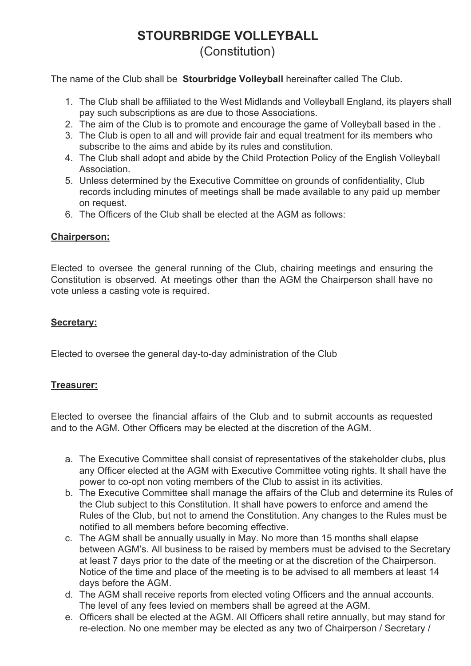## **STOURBRIDGE VOLLEYBALL** (Constitution)

The name of the Club shall be **Stourbridge Volleyball** hereinafter called The Club.

- 1. The Club shall be affiliated to the West Midlands and Volleyball England, its players shall pay such subscriptions as are due to those Associations.
- 2. The aim of the Club is to promote and encourage the game of Volleyball based in the .
- 3. The Club is open to all and will provide fair and equal treatment for its members who subscribe to the aims and abide by its rules and constitution.
- 4. The Club shall adopt and abide by the Child Protection Policy of the English Volleyball Association.
- 5. Unless determined by the Executive Committee on grounds of confidentiality, Club records including minutes of meetings shall be made available to any paid up member on request.
- 6. The Officers of the Club shall be elected at the AGM as follows:

## **Chairperson:**

Elected to oversee the general running of the Club, chairing meetings and ensuring the Constitution is observed. At meetings other than the AGM the Chairperson shall have no vote unless a casting vote is required.

## **Secretary:**

Elected to oversee the general day-to-day administration of the Club

## **Treasurer:**

Elected to oversee the financial affairs of the Club and to submit accounts as requested and to the AGM. Other Officers may be elected at the discretion of the AGM.

- a. The Executive Committee shall consist of representatives of the stakeholder clubs, plus any Officer elected at the AGM with Executive Committee voting rights. It shall have the power to co-opt non voting members of the Club to assist in its activities.
- b. The Executive Committee shall manage the affairs of the Club and determine its Rules of the Club subject to this Constitution. It shall have powers to enforce and amend the Rules of the Club, but not to amend the Constitution. Any changes to the Rules must be notified to all members before becoming effective.
- c. The AGM shall be annually usually in May. No more than 15 months shall elapse between AGM's. All business to be raised by members must be advised to the Secretary at least 7 days prior to the date of the meeting or at the discretion of the Chairperson. Notice of the time and place of the meeting is to be advised to all members at least 14 days before the AGM.
- d. The AGM shall receive reports from elected voting Officers and the annual accounts. The level of any fees levied on members shall be agreed at the AGM.
- e. Officers shall be elected at the AGM. All Officers shall retire annually, but may stand for re-election. No one member may be elected as any two of Chairperson / Secretary /